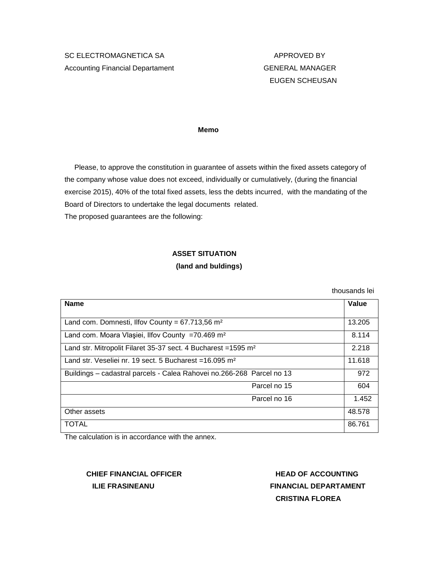# SC ELECTROMAGNETICA SA APPROVED BY Accounting Financial Departament Communication CENERAL MANAGER

# EUGEN SCHEUSAN

 **Memo**

 Please, to approve the constitution in guarantee of assets within the fixed assets category of the company whose value does not exceed, individually or cumulatively, (during the financial exercise 2015), 40% of the total fixed assets, less the debts incurred, with the mandating of the Board of Directors to undertake the legal documents related. The proposed guarantees are the following:

### **ASSET SITUATION**

#### **(land and buldings)**

thousands lei

| <b>Name</b>                                                                | Value  |
|----------------------------------------------------------------------------|--------|
|                                                                            |        |
| Land com. Domnesti, Ilfov County = $67.713,56$ m <sup>2</sup>              | 13.205 |
| Land com. Moara Vlasiei, Ilfov County =70.469 m <sup>2</sup>               | 8.114  |
| Land str. Mitropolit Filaret 35-37 sect. 4 Bucharest = 1595 m <sup>2</sup> | 2.218  |
| Land str. Veseliei nr. 19 sect. 5 Bucharest = 16.095 m <sup>2</sup>        | 11.618 |
| Buildings - cadastral parcels - Calea Rahovei no.266-268 Parcel no 13      | 972    |
| Parcel no 15                                                               | 604    |
| Parcel no 16                                                               | 1.452  |
| Other assets                                                               | 48.578 |
| <b>TOTAL</b>                                                               | 86.761 |

The calculation is in accordance with the annex.

# **CHIEF FINANCIAL OFFICER THEAD OF ACCOUNTING**

 **ILIE FRASINEANU FINANCIAL DEPARTAMENT CRISTINA FLOREA**